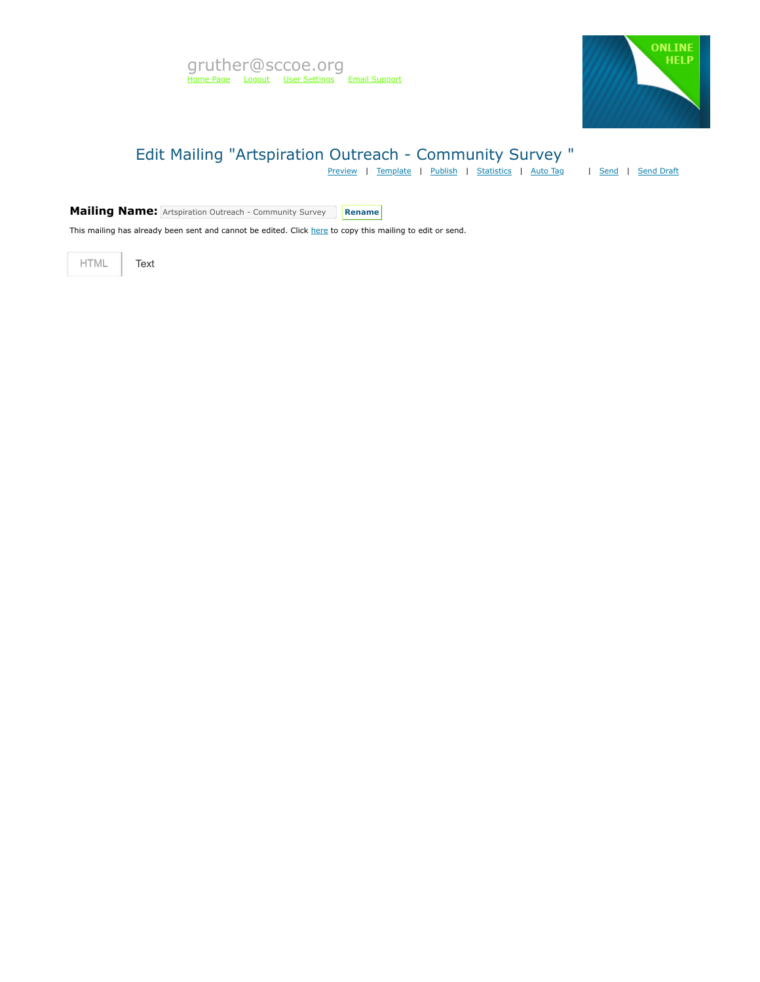

# Edit Mailing "Artspiration Outreach - Community Survey "

[Preview](https://mvapp.marketvolt.com/Mailing/Preview/720504) | [Template](https://mvapp.marketvolt.com/TemplatePreview.aspx?TemplateId=35366) | [Publish](https://mvapp.marketvolt.com/Mailing/Publish/720504) | [Statistics](https://mvapp.marketvolt.com/StatsMailing.aspx?MailingID=720504) | [Auto Tag](https://mvapp.marketvolt.com/AutoAssign.aspx?MailingID=720504) | [Send](https://mvapp.marketvolt.com/Mailing/Schedule/720504) | [Send Draft](https://mvapp.marketvolt.com/SendDraft.aspx?MailingID=720504)

**Mailing Name:** Artspiration Outreach - Community Survey **Rename** 

This mailing has already been sent and cannot be edited. Click [here](https://mvapp.marketvolt.com/Mailing/Copy/720504) to copy this mailing to edit or send.

HTML **Text**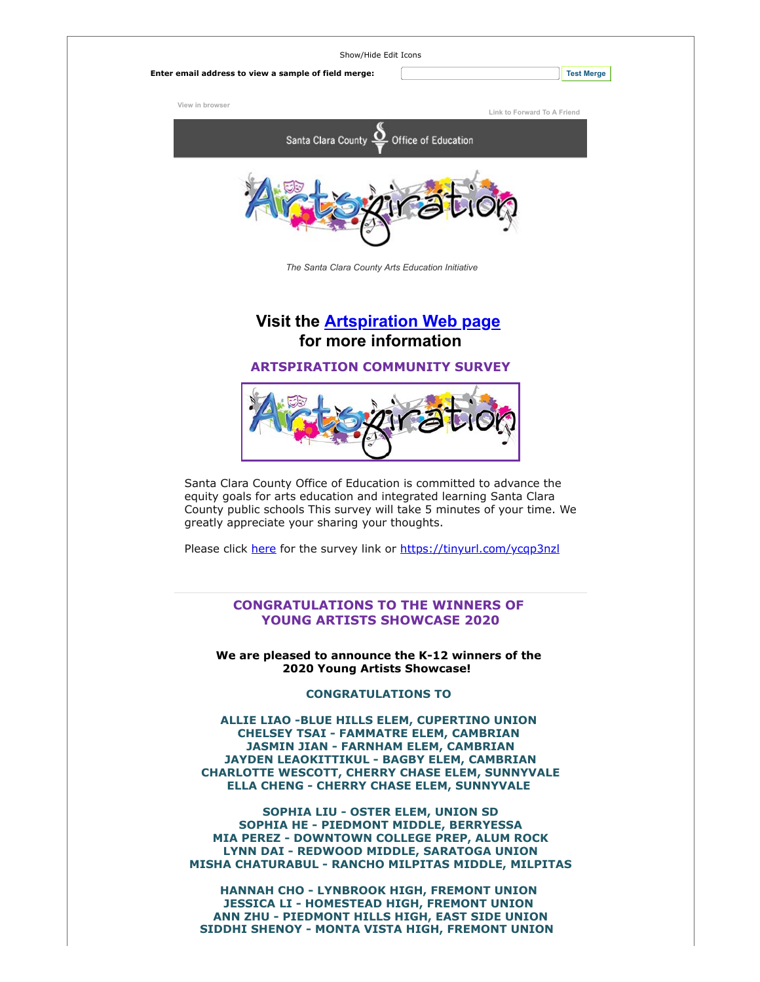

**HANNAH CHO - LYNBROOK HIGH, FREMONT UNION JESSICA LI - HOMESTEAD HIGH, FREMONT UNION ANN ZHU - PIEDMONT HILLS HIGH, EAST SIDE UNION SIDDHI SHENOY - MONTA VISTA HIGH, FREMONT UNION**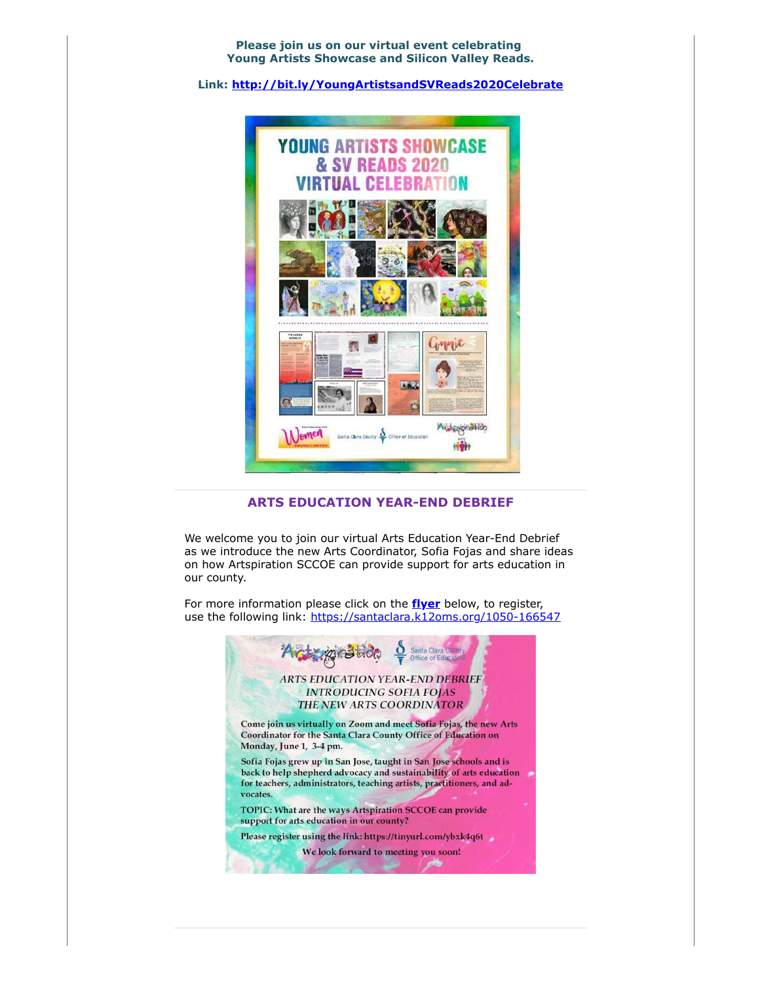**Please join us on our virtual event celebrating Young Artists Showcase and Silicon Valley Reads.**

**Link: [http://bit.ly/YoungArtistsandSVReads2020Celebrate](https://custapp.marketvolt.com/link/LUbAfUw8pT?CM=0&X=PREVIEW)**



#### **ARTS EDUCATION YEAR-END DEBRIEF**

We welcome you to join our virtual Arts Education Year-End Debrief as we introduce the new Arts Coordinator, Sofia Fojas and share ideas on how Artspiration SCCOE can provide support for arts education in our county.

For more information please click on the **[flyer](https://custapp.marketvolt.com/link/WvdPYDhtEt?CM=0&X=PREVIEW)** below, to register, use the following link: [https://santaclara.k12oms.org/1050-166547](https://custapp.marketvolt.com/link/qKl3nkGKAv?CM=0&X=PREVIEW)

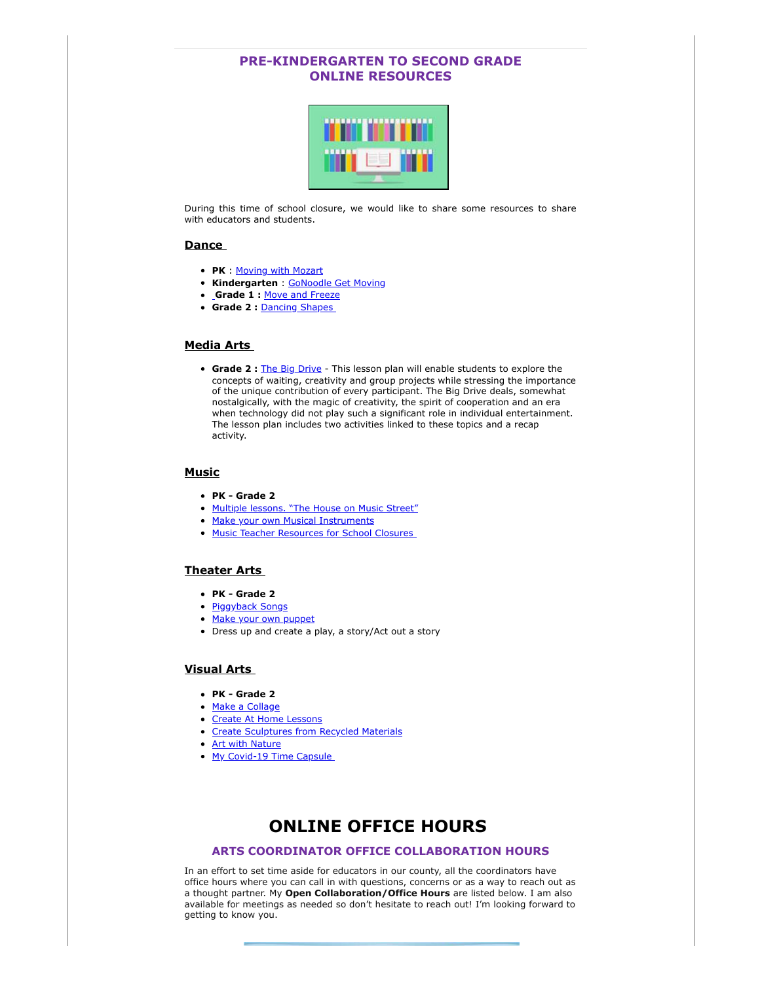### **PRE-KINDERGARTEN TO SECOND GRADE ONLINE RESOURCES**



During this time of school closure, we would like to share some resources to share with educators and students.

#### **Dance**

- **PK** : [Moving with Mozart](https://custapp.marketvolt.com/link/7gHbYpXG5A?CM=0&X=PREVIEW)
- **Kindergarten** : [GoNoodle Get Moving](https://custapp.marketvolt.com/link/UizHPki6Hm?CM=0&X=PREVIEW)
- **[G](https://custapp.marketvolt.com/link/bqE4scPVc3?CM=0&X=PREVIEW)rade 1 :** [Move and Freeze](https://custapp.marketvolt.com/link/VPnD4mGfwI?CM=0&X=PREVIEW)
- **Grade 2 :** [Dancing Shapes](https://custapp.marketvolt.com/link/o7HCM5B93M?CM=0&X=PREVIEW)

### **Media Arts**

**Grade 2 :** [The Big Drive](https://custapp.marketvolt.com/link/HZPfdl7cuf?CM=0&X=PREVIEW) - This lesson plan will enable students to explore the concepts of waiting, creativity and group projects while stressing the importance of the unique contribution of every participant. The Big Drive deals, somewhat nostalgically, with the magic of creativity, the spirit of cooperation and an era when technology did not play such a significant role in individual entertainment. The lesson plan includes two activities linked to these topics and a recap activity.

### **Music**

- **PK Grade 2**
- [Multiple lessons. "The House on Music Street"](https://custapp.marketvolt.com/link/8vZbnVrebZ?CM=0&X=PREVIEW)
- [Make your own Musical Instruments](https://custapp.marketvolt.com/link/lp6e7HF5td?CM=0&X=PREVIEW)
- Music Teacher Resources for School Closures

#### **Theater Arts**

- **PK Grade 2**
- [Piggyback Songs](https://custapp.marketvolt.com/link/sQG1A4eMgt?CM=0&X=PREVIEW)
- [Make your own puppet](https://custapp.marketvolt.com/link/UUbd8sZNfI?CM=0&X=PREVIEW)
- Dress up and create a play, a story/Act out a story

### **Visual Arts**

- **PK Grade 2**
- [Make a Collage](https://custapp.marketvolt.com/link/AKaG647wuo?CM=0&X=PREVIEW)
- [Create At Home Lessons](https://custapp.marketvolt.com/link/2kHbGGV2aX?CM=0&X=PREVIEW)
- [Create Sculptures from Recycled Materials](https://custapp.marketvolt.com/link/8mlG7wd3vi?CM=0&X=PREVIEW)
- [Art with Nature](https://custapp.marketvolt.com/link/LbtDrKsFTE?CM=0&X=PREVIEW)
- My Covid-19 Time Capsule

## **ONLINE OFFICE HOURS**

#### **ARTS COORDINATOR OFFICE COLLABORATION HOURS**

In an effort to set time aside for educators in our county, all the coordinators have office hours where you can call in with questions, concerns or as a way to reach out as a thought partner. My **Open Collaboration/Office Hours** are listed below. I am also available for meetings as needed so don't hesitate to reach out! I'm looking forward to getting to know you.